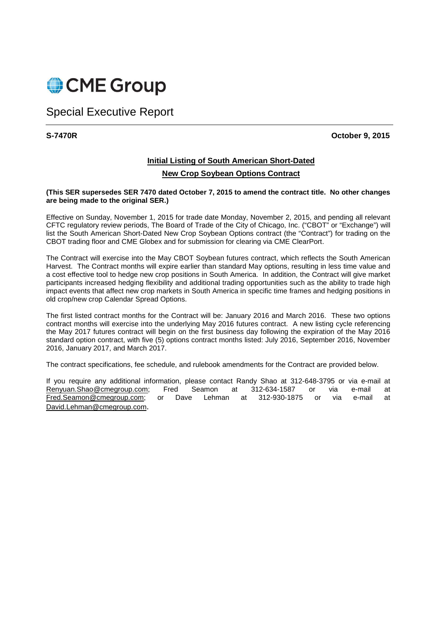

# Special Executive Report

**S-7470R October 9, 2015** 

# **Initial Listing of South American Short-Dated**

## **New Crop Soybean Options Contract**

### **(This SER supersedes SER 7470 dated October 7, 2015 to amend the contract title. No other changes are being made to the original SER.)**

Effective on Sunday, November 1, 2015 for trade date Monday, November 2, 2015, and pending all relevant CFTC regulatory review periods, The Board of Trade of the City of Chicago, Inc. ("CBOT" or "Exchange") will list the South American Short-Dated New Crop Soybean Options contract (the "Contract") for trading on the CBOT trading floor and CME Globex and for submission for clearing via CME ClearPort.

The Contract will exercise into the May CBOT Soybean futures contract, which reflects the South American Harvest. The Contract months will expire earlier than standard May options, resulting in less time value and a cost effective tool to hedge new crop positions in South America. In addition, the Contract will give market participants increased hedging flexibility and additional trading opportunities such as the ability to trade high impact events that affect new crop markets in South America in specific time frames and hedging positions in old crop/new crop Calendar Spread Options.

The first listed contract months for the Contract will be: January 2016 and March 2016. These two options contract months will exercise into the underlying May 2016 futures contract. A new listing cycle referencing the May 2017 futures contract will begin on the first business day following the expiration of the May 2016 standard option contract, with five (5) options contract months listed: July 2016, September 2016, November 2016, January 2017, and March 2017.

The contract specifications, fee schedule, and rulebook amendments for the Contract are provided below.

If you require any additional information, please contact Randy Shao at 312-648-3795 or via e-mail at Renyuan.Shao@cmegroup.com; Fred Seamon at 312-634-1587 or via e-mail at Fred.Seamon@cmegroup.com; or Dave Lehman at 312-930-1875 or via e-mail at David.Lehman@cmegroup.com.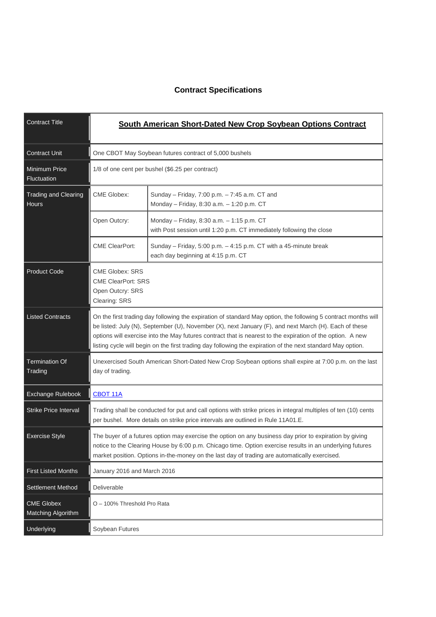## **Contract Specifications**

| <b>Contract Title</b>                       | South American Short-Dated New Crop Soybean Options Contract                                                                                                                                                                                                                                                                                                                                                                                         |                                                                                                                   |  |
|---------------------------------------------|------------------------------------------------------------------------------------------------------------------------------------------------------------------------------------------------------------------------------------------------------------------------------------------------------------------------------------------------------------------------------------------------------------------------------------------------------|-------------------------------------------------------------------------------------------------------------------|--|
| <b>Contract Unit</b>                        | One CBOT May Soybean futures contract of 5,000 bushels                                                                                                                                                                                                                                                                                                                                                                                               |                                                                                                                   |  |
| <b>Minimum Price</b><br>Fluctuation         | 1/8 of one cent per bushel (\$6.25 per contract)                                                                                                                                                                                                                                                                                                                                                                                                     |                                                                                                                   |  |
| <b>Trading and Clearing</b><br><b>Hours</b> | <b>CME Globex:</b>                                                                                                                                                                                                                                                                                                                                                                                                                                   | Sunday - Friday, 7:00 p.m. - 7:45 a.m. CT and<br>Monday - Friday, 8:30 a.m. - 1:20 p.m. CT                        |  |
|                                             | Open Outcry:                                                                                                                                                                                                                                                                                                                                                                                                                                         | Monday - Friday, 8:30 a.m. - 1:15 p.m. CT<br>with Post session until 1:20 p.m. CT immediately following the close |  |
|                                             | <b>CME ClearPort:</b>                                                                                                                                                                                                                                                                                                                                                                                                                                | Sunday - Friday, 5:00 p.m. - 4:15 p.m. CT with a 45-minute break<br>each day beginning at 4:15 p.m. CT            |  |
| <b>Product Code</b>                         | <b>CME Globex: SRS</b><br><b>CME ClearPort: SRS</b><br>Open Outcry: SRS<br>Clearing: SRS                                                                                                                                                                                                                                                                                                                                                             |                                                                                                                   |  |
| <b>Listed Contracts</b>                     | On the first trading day following the expiration of standard May option, the following 5 contract months will<br>be listed: July (N), September (U), November (X), next January (F), and next March (H). Each of these<br>options will exercise into the May futures contract that is nearest to the expiration of the option. A new<br>listing cycle will begin on the first trading day following the expiration of the next standard May option. |                                                                                                                   |  |
| <b>Termination Of</b><br>Trading            | Unexercised South American Short-Dated New Crop Soybean options shall expire at 7:00 p.m. on the last<br>day of trading.                                                                                                                                                                                                                                                                                                                             |                                                                                                                   |  |
| Exchange Rulebook                           | <b>CBOT 11A</b>                                                                                                                                                                                                                                                                                                                                                                                                                                      |                                                                                                                   |  |
| <b>Strike Price Interval</b>                | Trading shall be conducted for put and call options with strike prices in integral multiples of ten (10) cents<br>per bushel. More details on strike price intervals are outlined in Rule 11A01.E.                                                                                                                                                                                                                                                   |                                                                                                                   |  |
| <b>Exercise Style</b>                       | The buyer of a futures option may exercise the option on any business day prior to expiration by giving<br>notice to the Clearing House by 6:00 p.m. Chicago time. Option exercise results in an underlying futures<br>market position. Options in-the-money on the last day of trading are automatically exercised.                                                                                                                                 |                                                                                                                   |  |
| <b>First Listed Months</b>                  |                                                                                                                                                                                                                                                                                                                                                                                                                                                      | January 2016 and March 2016                                                                                       |  |
| Settlement Method                           | Deliverable                                                                                                                                                                                                                                                                                                                                                                                                                                          |                                                                                                                   |  |
| <b>CME Globex</b><br>Matching Algorithm     | O - 100% Threshold Pro Rata                                                                                                                                                                                                                                                                                                                                                                                                                          |                                                                                                                   |  |
| Underlying                                  | Soybean Futures                                                                                                                                                                                                                                                                                                                                                                                                                                      |                                                                                                                   |  |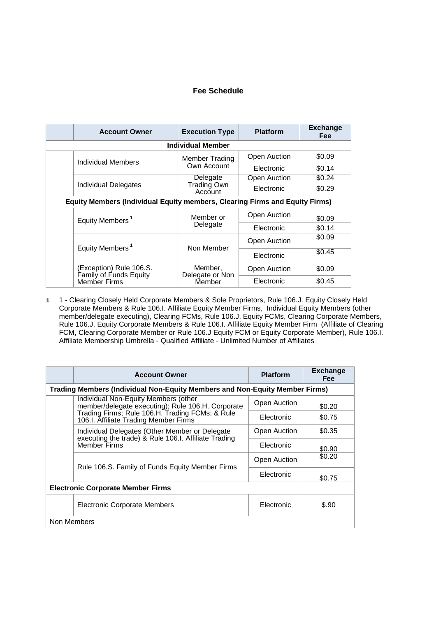## **Fee Schedule**

|                                                                             | <b>Account Owner</b>                              | <b>Execution Type</b>                | <b>Platform</b> | <b>Exchange</b><br><b>Fee</b> |  |  |  |
|-----------------------------------------------------------------------------|---------------------------------------------------|--------------------------------------|-----------------|-------------------------------|--|--|--|
| <b>Individual Member</b>                                                    |                                                   |                                      |                 |                               |  |  |  |
|                                                                             | Individual Members                                | Member Trading                       | Open Auction    | \$0.09                        |  |  |  |
|                                                                             |                                                   | Own Account                          | Electronic      | \$0.14                        |  |  |  |
|                                                                             |                                                   | Delegate                             | Open Auction    | \$0.24                        |  |  |  |
|                                                                             | <b>Individual Delegates</b>                       | Trading Own<br>Account               | Electronic      | \$0.29                        |  |  |  |
| Equity Members (Individual Equity members, Clearing Firms and Equity Firms) |                                                   |                                      |                 |                               |  |  |  |
|                                                                             | Equity Members <sup>1</sup>                       | Member or                            | Open Auction    | \$0.09                        |  |  |  |
|                                                                             |                                                   | Delegate                             | Electronic      | \$0.14                        |  |  |  |
|                                                                             | Equity Members <sup>1</sup>                       | Non Member                           | Open Auction    | \$0.09                        |  |  |  |
|                                                                             |                                                   |                                      | Electronic      | \$0.45                        |  |  |  |
|                                                                             | (Exception) Rule 106.S.<br>Family of Funds Equity | Member,<br>Delegate or Non<br>Member | Open Auction    | \$0.09                        |  |  |  |
|                                                                             | <b>Member Firms</b>                               |                                      | Electronic      | \$0.45                        |  |  |  |

**1** 1 - Clearing Closely Held Corporate Members & Sole Proprietors, Rule 106.J. Equity Closely Held Corporate Members & Rule 106.I. Affiliate Equity Member Firms, Individual Equity Members (other member/delegate executing), Clearing FCMs, Rule 106.J. Equity FCMs, Clearing Corporate Members, Rule 106.J. Equity Corporate Members & Rule 106.I. Affiliate Equity Member Firm (Affiliate of Clearing FCM, Clearing Corporate Member or Rule 106.J Equity FCM or Equity Corporate Member), Rule 106.I. Affiliate Membership Umbrella - Qualified Affiliate - Unlimited Number of Affiliates

|                                                                             | <b>Account Owner</b>                                                                                                          | <b>Platform</b> | <b>Exchange</b><br><b>Fee</b> |  |  |
|-----------------------------------------------------------------------------|-------------------------------------------------------------------------------------------------------------------------------|-----------------|-------------------------------|--|--|
| Trading Members (Individual Non-Equity Members and Non-Equity Member Firms) |                                                                                                                               |                 |                               |  |  |
|                                                                             | Individual Non-Equity Members (other<br>member/delegate executing); Rule 106.H. Corporate                                     | Open Auction    | \$0.20                        |  |  |
|                                                                             | Trading Firms; Rule 106.H. Trading FCMs; & Rule<br>106.I. Affiliate Trading Member Firms                                      | Electronic      | \$0.75                        |  |  |
|                                                                             | Individual Delegates (Other Member or Delegate<br>executing the trade) & Rule 106.I. Affiliate Trading<br><b>Member Firms</b> | Open Auction    | \$0.35                        |  |  |
|                                                                             |                                                                                                                               | Electronic      | \$0.90                        |  |  |
|                                                                             | Rule 106.S. Family of Funds Equity Member Firms                                                                               | Open Auction    | \$0.20                        |  |  |
|                                                                             |                                                                                                                               | Electronic      | \$0.75                        |  |  |
| <b>Electronic Corporate Member Firms</b>                                    |                                                                                                                               |                 |                               |  |  |
|                                                                             | <b>Electronic Corporate Members</b>                                                                                           | Electronic      | \$.90                         |  |  |
| Non Members                                                                 |                                                                                                                               |                 |                               |  |  |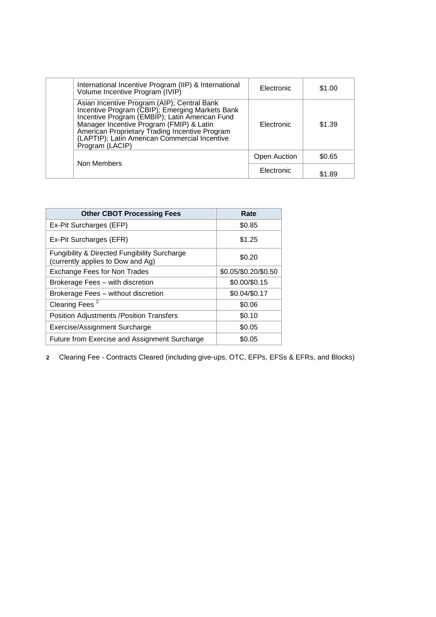| International Incentive Program (IIP) & International<br>Volume Incentive Program (IVIP)                                                                                                                                                                                                                           | Electronic          | \$1.00 |
|--------------------------------------------------------------------------------------------------------------------------------------------------------------------------------------------------------------------------------------------------------------------------------------------------------------------|---------------------|--------|
| Asian Incentive Program (AIP); Central Bank<br>Incentive Program (CBIP); Emerging Markets Bank<br>Incentive Program (EMBIP); Latin American Fund<br>Manager Incentive Program (FMIP) & Latin<br>American Proprietary Trading Incentive Program<br>(LAPTIP); Latin American Commercial Incentive<br>Program (LACIP) | Electronic          | \$1.39 |
|                                                                                                                                                                                                                                                                                                                    | <b>Open Auction</b> | \$0.65 |
| Non Members                                                                                                                                                                                                                                                                                                        | Electronic          | \$1.89 |

| <b>Other CBOT Processing Fees</b>                                                            | Rate                 |
|----------------------------------------------------------------------------------------------|----------------------|
| Ex-Pit Surcharges (EFP)                                                                      | \$0.85               |
| Ex-Pit Surcharges (EFR)                                                                      | \$1.25               |
| <b>Fungibility &amp; Directed Fungibility Surcharge</b><br>(currently applies to Dow and Ag) | \$0.20               |
| <b>Exchange Fees for Non Trades</b>                                                          | \$0.05/\$0.20/\$0.50 |
| Brokerage Fees - with discretion                                                             | \$0.00/\$0.15        |
| Brokerage Fees - without discretion                                                          | \$0.04/\$0.17        |
| Clearing Fees <sup>2</sup>                                                                   | \$0.06               |
| <b>Position Adjustments /Position Transfers</b>                                              | \$0.10               |
| Exercise/Assignment Surcharge                                                                | \$0.05               |
| Future from Exercise and Assignment Surcharge                                                | \$0.05               |

**2** Clearing Fee - Contracts Cleared (including give-ups, OTC, EFPs, EFSs & EFRs, and Blocks)